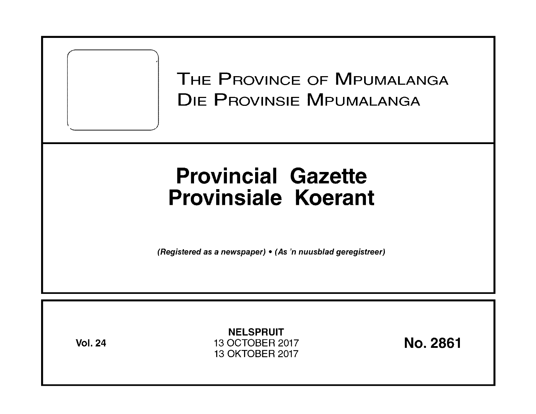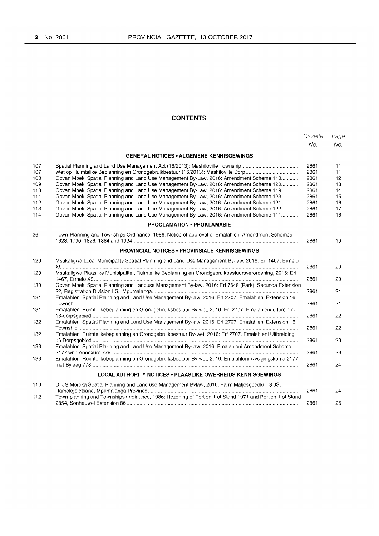# **CONTENTS**

|     |                                                                                                         | Gazette | Page |
|-----|---------------------------------------------------------------------------------------------------------|---------|------|
|     |                                                                                                         | No.     | No.  |
|     | <b>GENERAL NOTICES • ALGEMENE KENNISGEWINGS</b>                                                         |         |      |
| 107 |                                                                                                         | 2861    | 11   |
| 107 |                                                                                                         | 2861    | 11   |
| 108 | Govan Mbeki Spatial Planning and Land Use Management By-Law, 2016: Amendment Scheme 118                 | 2861    | 12   |
| 109 | Govan Mbeki Spatial Planning and Land Use Management By-Law, 2016: Amendment Scheme 120                 | 2861    | 13   |
| 110 | Govan Mbeki Spatial Planning and Land Use Management By-Law, 2016: Amendment Scheme 119                 | 2861    | 14   |
| 111 | Govan Mbeki Spatial Planning and Land Use Management By-Law, 2016: Amendment Scheme 123                 | 2861    | 15   |
| 112 | Govan Mbeki Spatial Planning and Land Use Management By-Law, 2016: Amendment Scheme 121                 | 2861    | 16   |
| 113 | Govan Mbeki Spatial Planning and Land Use Management By-Law, 2016: Amendment Scheme 122                 | 2861    | 17   |
| 114 | Govan Mbeki Spatial Planning and Land Use Management By-Law, 2016: Amendment Scheme 111                 | 2861    | 18   |
|     | <b>PROCLAMATION • PROKLAMASIE</b>                                                                       |         |      |
| 26  | Town-Planning and Townships Ordinance, 1986: Notice of approval of Emalahleni Amendment Schemes         | 2861    | 19   |
|     | <b>PROVINCIAL NOTICES • PROVINSIALE KENNISGEWINGS</b>                                                   |         |      |
| 129 | Msukaligwa Local Municipality Spatial Planning and Land Use Management By-law, 2016: Erf 1467, Ermelo   | 2861    | 20   |
| 129 | Msukaligwa Plaaslike Munisipaliteit Ruimtelike Beplanning en Grondgebruikbestuursverordening, 2016: Erf | 2861    | 20   |
| 130 | Govan Mbeki Spatial Planning and Landuse Management By-law, 2016: Erf 7648 (Park), Secunda Extension    | 2861    | 21   |
| 131 | Emalahleni Spatial Planning and Land Use Management By-law, 2016: Erf 2707, Emalahleni Extension 16     | 2861    | 21   |
| 131 | Emalahleni Ruimtelikebeplanning en Grondgebruiksbestuur By-wet, 2016: Erf 2707, Emalahleni-uitbreiding  | 2861    | 22   |
| 132 | Emalahleni Spatial Planning and Land Use Management By-law, 2016: Erf 2707, Emalahleni Extension 16     | 2861    | 22   |
| 132 | Emalahleni Ruimtelikebeplanning en Grondgebruikbestuur By-wet, 2016: Erf 2707, Emalahleni Uitbreiding   | 2861    | 23   |
| 133 | Emalahleni Spatial Planning and Land Use Management By-law, 2016: Emalahleni Amendment Scheme           | 2861    | 23   |
| 133 | Emalahleni Ruimtelikebeplanning en Grondgebruiksbestuur By-wet, 2016: Emalahleni-wysigingskema 2177     |         |      |
|     |                                                                                                         | 2861    | 24   |
|     | <b>LOCAL AUTHORITY NOTICES . PLAASLIKE OWERHEIDS KENNISGEWINGS</b>                                      |         |      |
| 110 | Dr JS Moroka Spatial Planning and Land use Management Bylaw, 2016: Farm Matjesgoedkuil 3 JS,            | 2861    | 24   |
| 112 | Town-planning and Townships Ordinance, 1986: Rezoning of Portion 1 of Stand 1971 and Portion 1 of Stand |         |      |
|     |                                                                                                         | 2861    | 25   |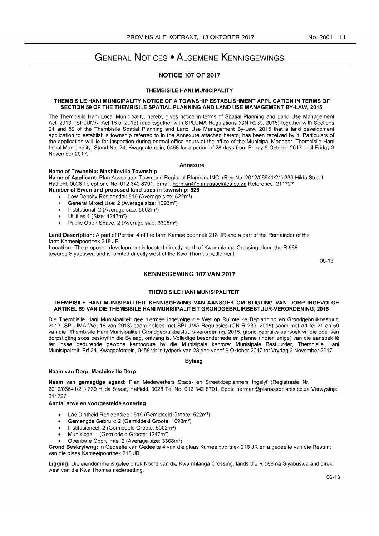# GENERAL NOTICES • ALGEMENE KENNISGEWINGS

### NOTICE 107 OF 2017

#### THEMBISILE HANI MUNICIPALITY

#### THEMBISILE HANI MUNICIPALITY NOTICE OF A TOWNSHIP ESTABLISHMENT APPLICATION IN TERMS OF SECTION 59 OF THE THEMBISILE SPATIAL PLANNING AND LAND USE MANAGEMENT BY-LAW, 2015

The Thembisile Hani Local Municipality, hereby gives notice in terms of Spatial Planning and Land Use Management Act, 2013, (SPLUMA, Act 16 of 2013) read together with SPLUMA Regulations (GN R239, 2015) together with Sections 21 and 59 of the Thembisile Spatial Planning and Land Use Management By-Law, 2015 that a land development application to establish a township referred to in the Annexure attached hereto, has been received by it. Particulars of the application will lie for inspection during normal office hours at the office of the Municipal Manager, Thembisile Hani Local Municipality, Stand No. 24, Kwaggafontein, 0458 for a period of 28 days from Friday 6 October 2017 until Friday 3 November 2017.

#### Annexure

#### Name of Township: Mashiloville Township

Name of Applicant: Plan Associates Town and Regional Planners INC, (Reg No. 2012/06641/21) 339 Hilda Street, Hatfield, 0028 Telephone No: 012 342 8701, Email: herman@planassociates.co.za Reference: 211727 Number of Erven and proposed land uses in township: 526

- Low Density Residential: 519 (Average size: 522m<sup>2</sup>)
- General Mixed Use: 2 (Average size: 1698m2)
- Institutional: 2 (Average size: 5002m2)
- Utilities 1 (Size: 1247m<sup>2</sup>)
- Public Open Space: 2 (Average size: 3308m2)

Land Description: A part of Portion 4 of the farm Kameelpoortnek 218 JR and a part of the Remainder of the farm Kameelpoortnek 218 JR

Location: The proposed development is located directly north of Kwamhlanga Crossing along the R 568 towards Siyabuswa and is located directly west of the Kwa Thomas settlement.

06-13

#### KENNISGEWING 107 VAN 2017

#### THEMBISILE HANI MUNISIPALITEIT

#### THEMBISILE HANI MUNISIPALITEIT KENNISGEWING VAN AANSOEK OM STIGTING VAN DORP INGEVOLGE ARTIKEL 59 VAN DIE THEMBISILE HAN I MUNISIPALITEIT GRONDGEBRUIKBESTUUR-VERORDENING, 2015

Die Thembisile Hani Munisipaliteit gee hiermee ingevolge die Wet op Ruimtelike Beplanning en Grondgebruikbestuur, 2013 (SPLUMA Wet 16 van 2013) saam gelees met SPLUMA Regulasies (GN R 239,2015) saam met artikel 21 en 59 van die Thembisile Hani Munisipaliteit Grondgebruikbestuurs-verordening, 2015, grond gebruiks aansoek vir die doel van dorpstigting soos beskryf in die Bylaag, ontvang is. Volledige besonderhede en planne (indien enige) van die aansoek Ie ter insae gedurende gewone kantoorure by die Munisipale kantore: Munisipale Bestuurder, Thembisile Hani Munisipaliteit, Erf 24, Kwaggafontein, 0458 vir 'n tydperk van 28 dae vanaf 6 Oktober 2017 tot Vrydag 3 November 2017.

#### Bylaag

#### Naam van Dorp: Mashiloville Dorp

Naam van gemagtige agend: Plan Medewerkers Stads- en Streetkbeplanners Ingelyf (Registrasie Nr. 2012/06641/21) 339 Hilda Straat, Hatfield, 0028 Tel No: 012 342 8701, Epos: herman@planassociates.co.za Verwysing: 211727

#### Aantal erwe en voorgestelde sonering

- Lae Digtheid Residensieel: 519 (Gemiddeld Groote: 522m2)
- Gemengde Gebruik: 2 (Gemiddeld Groote: 1698m2)
- Institusioneel: 2 (Gemiddeld Groote: 5002m2)
- Munisipaal 1 (Gemiddeld Groote: 1247m<sup>2</sup>)
- Openbare Oopruimte: 2 (Average size: 3308m2)

Grond Beskryiwng: 'n Gedeelte van Gedeelte 4 van die plaas Kameelpoortnek 218 JR en a gedeelte van die Restant van die plaas Kameelpoortnek 218 JR.

Ligging: Die eiendomme is gelee direk Noord van die Kwamhlanga Crossing, lands the R 568 na Siyabuswa and direk west van die Kwa Thomas nedersetting.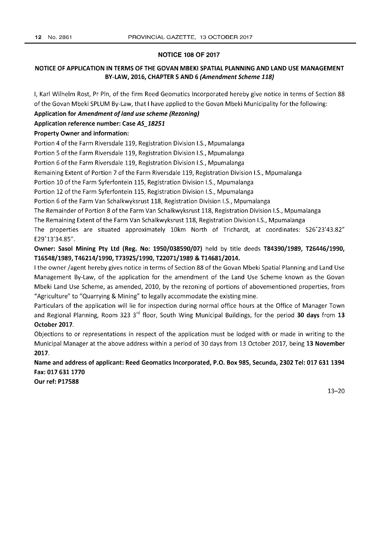#### **NOTICE 108 OF 2017**

# **NOTICE OF APPLICATION IN TERMS OF THE GOVAN MBEKI SPATIAL PLANNING AND LAND USE MANAGEMENT BY-LAW, 2016, CHAPTER 5 AND 6 (Amendment Scheme 118)**

I, Karl Wilhelm Rost, Pr Pin, of the firm Reed Geomatics Incorporated hereby give notice in terms of Section 88 of the Govan Mbeki SPLUM By-Law, that I have applied to the Govan Mbeki Municipality for the following:

**Application for Amendment of land use scheme (Rezoning)** 

**Application reference number: Case AS\_18251** 

### **Property Owner and information:**

Portion 4 of the Farm Riversdale 119, Registration Division 1.5., Mpumalanga

Portion 5 of the Farm Riversdale 119, Registration Division 1.5., Mpumalanga

Portion 6 of the Farm Riversdale 119, Registration Division 1.5., Mpumalanga

Remaining Extent of Portion 7 of the Farm Riversdale 119, Registration Division 1.5., Mpumalanga

Portion 10 of the Farm Syferfontein 115, Registration Division 1.5., Mpumalanga

Portion 12 of the Farm Syferfontein 115, Registration Division 1.5., Mpumalanga

Portion 6 of the Farm Van Schalkwyksrust 118, Registration Division 1.5., Mpumalanga

The Remainder of Portion 8 of the Farm Van Schalkwyksrust 118, Registration Division 1.5., Mpumalanga

The Remaining Extent of the Farm Van Schalkwyksrust 118, Registration Division 1.5., Mpumalanga

The properties are situated approximately 10km North of Trichardt, at coordinates: 526"23'43.82" E29°13'34.85".

**Owner: Sasol Mining Pty ltd (Reg. No: 1950/038590/07)** held by title deeds **T84390/1989, T26446/1990, T16548/1989, T46214/1990, T73925/1990, T22071/1989&T14681/2014.** 

I the owner /agent hereby gives notice in terms of Section 88 of the Govan Mbeki Spatial Planning and Land Use Management By-Law, of the application for the amendment of the Land Use Scheme known as the Govan Mbeki Land Use Scheme, as amended, 2010, by the rezoning of portions of abovementioned properties, from "Agriculture" to "Quarrying & Mining" to legally accommodate the existing mine.

Particulars of the application will lie for inspection during normal office hours at the Office of Manager Town and Regional Planning, Room 323 3rd floor, South Wing Municipal Buildings, for the period **30 days** from 13 **October 2017.** 

Objections to or representations in respect of the application must be lodged with or made in writing to the Municipal Manager at the above address within a period of 30 days from 13 October 2017, being **13 November 2017.** 

**Name and address of applicant: Reed Geomatics Incorporated, P.O. Box 985, Secunda, 2302 Tel: 017 6311394 Fax: 017 6311770** 

**Our ref: P17588**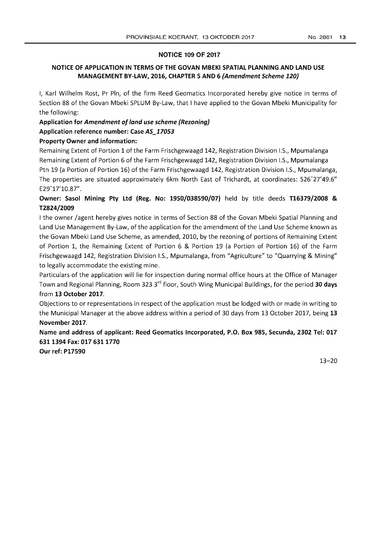# **NOTICE 109 OF 2017**

# **NOTICE OF APPLICATION IN TERMS OF THE GOVAN MBEKI SPATIAL PLANNING AND LAND USE MANAGEMENT BY-LAW, 2016, CHAPTER 5 AND 6 (Amendment Scheme 120)**

I, Karl Wilhelm Rost, Pr Pin, of the firm Reed Geomatics Incorporated hereby give notice in terms of Section 88 of the Govan Mbeki SPLUM By-Law, that I have applied to the Govan Mbeki Municipality for the following:

# **Application for Amendment 0/ land use scheme (Rezoning)**

# **Application reference number: Case AS\_17053**

# **Property Owner and information:**

Remaining Extent of Portion 1 of the Farm Frischgewaagd 142, Registration Division 1.5., Mpumalanga Remaining Extent of Portion 6 of the Farm Frischgewaagd 142, Registration Division 1.5., Mpumalanga Ptn 19 (a Portion of Portion 16) of the Farm Frischgewaagd 142, Registration Division 1.5., Mpumalanga, The properties are situated approximately 6km North East of Trichardt, at coordinates: 526°27'49.6" E29°17'lO.87" .

# **Owner: Sasol Mining Pty Ltd (Reg. No: 1950/038590/07)** held by title deeds **T16379/2008 & T2824/2009**

I the owner /agent hereby gives notice in terms of Section 88 of the Govan Mbeki Spatial Planning and Land Use Management By-Law, of the application for the amendment of the Land Use Scheme known as the Govan Mbeki Land Use Scheme, as amended, 2010, by the rezoning of portions of Remaining Extent of Portion 1, the Remaining Extent of Portion 6 & Portion 19 (a Portion of Portion 16) of the Farm Frischgewaagd 142, Registration Division 1.5., Mpumalanga, from "Agriculture" to "Quarrying & Mining" to legally accommodate the existing mine.

Particulars of the application will lie for inspection during normal office hours at the Office of Manager Town and Regional Planning, Room 323 3rd floor, South Wing Municipal Buildings, for the period **30 days**  from **13 October 2017.** 

Objections to or representations in respect of the application must be lodged with or made in writing to the Municipal Manager at the above address within a period of 30 days from 13 October 2017, being 13 **November 2017.** 

**Name and address of applicant: Reed Geomatics Incorporated, P.O. Box 985, Secunda, 2302 Tel: 017 6311394 Fax: 017 6311770** 

**Our ref: P17590**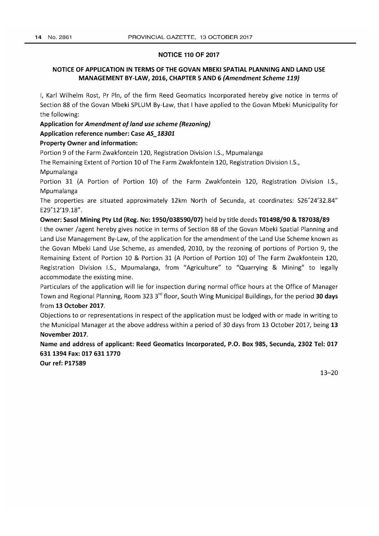#### **NOTICE 110 OF 2017**

# **NOTICE OF APPLICATION IN TERMS OF THE GOVAN MBEKI SPATIAL PLANNING AND LAND USE MANAGEMENT BY-LAW, 2016, CHAPTER 5 AND 6 (Amendment Scheme 119)**

I, Karl Wilhelm Rost, Pr Pin, of the firm Reed Geomatics Incorporated hereby give notice in terms of Section 88 of the Govan Mbeki **SPLUM** By-Law, that I have applied to the Govan Mbeki Municipality for the following:

**Application** for **Amendment 0/ land use scheme (Rezoning)** 

#### **Application reference number: Case AS\_18301**

#### **Property Owner and information:**

Portion 9 of the Farm Zwakfontein 120, Registration Division I.S., Mpumalanga

The Remaining Extent of Portion 10 of The Farm Zwakfontein 120, Registration Division I.S.,

Mpumalanga

Portion 31 **(A** Portion of Portion 10) of the Farm Zwakfontein 120, Registration Division I.S., Mpumalanga

The properties are situated approximately 12km North of Secunda, at coordinates: S26"24'32.84" E29°12'19.18".

#### **Owner: Sasol Mining pty Ltd (Reg. No: 1950/038590/07)** held by title deeds **T01498/90 & T87038/89**

I the owner /agent hereby gives notice in terms of Section 88 of the Govan Mbeki Spatial Planning and Land Use Management By-Law, of the application for the amendment of the Land Use Scheme known as the Govan Mbeki Land Use Scheme, as amended, 2010, by the rezoning of portions of Portion 9, the Remaining Extent of Portion 10 & Portion 31 **(A** Portion of Portion 10) of The Farm Zwakfontein 120, Registration Division I.S., Mpumalanga, from "Agriculture" to "Quarrying & Mining" to legally accommodate the existing mine.

Particulars of the application will lie for inspection during normal office hours at the Office of Manager Town and Regional Planning, Room 323 3rd floor, South Wing Municipal Buildings, for the period **30 days**  from **13 October 2017.** 

Objections to or representations in respect of the application must be lodged with or made in writing to the Municipal Manager at the above address within a period of 30 days from 13 October 2017, being 13 **November 2017.** 

**Name and address of applicant: Reed Geomatics Incorporated, P.O. Box 985, Secunda, 2302 Tel: 017 6311394 Fax: 017 6311770** 

**Our ref: P17589**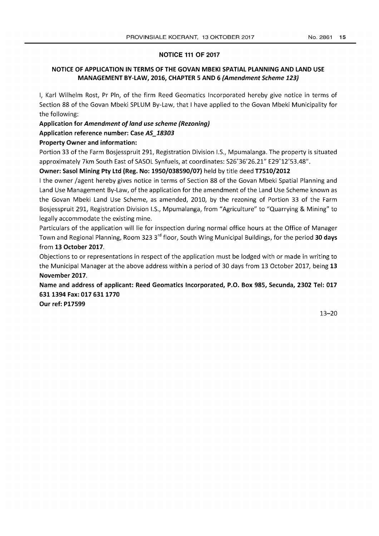# **NOTICE 111 OF 2017**

# **NOTICE OF APPLICATION IN TERMS OF THE GOVAN MBEKI SPATIAL PLANNING AND LAND USE MANAGEMENT BY-LAW, 2016, CHAPTER 5 AND 6 (Amendment Scheme 123)**

I, Karl Wilhelm Rost, Pr Pin, of the firm Reed Geomatics Incorporated hereby give notice in terms of Section 88 of the Govan Mbeki SPLUM By-Law, that I have applied to the Govan Mbeki Municipality for the following:

**Application for Amendment of land use scheme (Rezoning)** 

**Application reference number: Case AS\_18303** 

# **Property Owner and information:**

Portion 33 of the Farm Bosjesspruit 291, Registration Division I.S., Mpumalanga. The property is situated approximately 7km South East of SASOL Synfuels, at coordinates: 526°36'26.21" E29°12'53.48".

# **Owner: Sasol Mining Pty Ltd (Reg. No: 1950/038590/07)** held by title deed **T7510/2012**

I the owner /agent hereby gives notice in terms of Section 88 of the Govan Mbeki Spatial Planning and Land Use Management By-Law, of the application for the amendment of the Land Use Scheme known as the Govan Mbeki Land Use Scheme, as amended, 2010, by the rezoning of Portion 33 of the Farm Bosjesspruit 291, Registration Division I.S., Mpumalanga, from "Agriculture" to "Quarrying & Mining" to legally accommodate the existing mine.

Particulars of the application will lie for inspection during normal office hours at the Office of Manager Town and Regional Planning, Room 323 3rd floor, South Wing Municipal Buildings, for the period **30 days**  from **13 October 2017.** 

Objections to or representations in respect of the application must be lodged with or made in writing to the Municipal Manager at the above address within a period of 30 days from 13 October 2017, being 13 **November 2017.** 

**Name and address of applicant: Reed Geomatics Incorporated, P.O. Box 985, Secunda, 2302 Tel: 017 6311394 Fax: 017 6311770** 

**Our ref: P17599**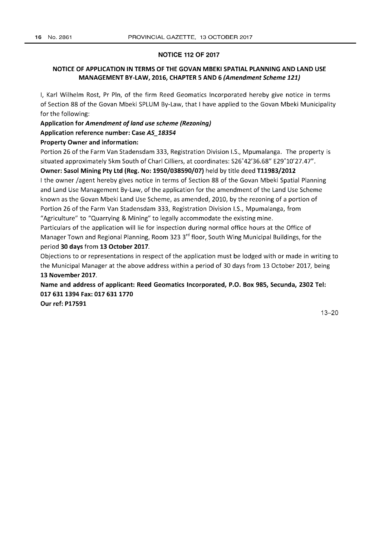#### NOTICE 112 OF 2017

# NOTICE OF APPLICATION IN TERMS OF THE GOVAN MBEKI SPATIAL PLANNING AND LAND USE MANAGEMENT BY-LAW, 2016, CHAPTER 5 AND 6 (Amendment Scheme 121)

I, Karl Wilhelm Rost, Pr Pin, of the firm Reed Geomatics Incorporated hereby give notice in terms of Section 88 of the Govan Mbeki SPLUM By-Law, that I have applied to the Govan Mbeki Municipality for the following:

Application for Amendment of land use scheme (Rezoning)

Application reference number: Case AS\_18354

### Property Owner and information:

Portion 26 of the Farm Van Stadensdam 333, Registration Division 1.5., Mpumalanga. The property is situated approximately Skm South of Chari Cilliers, at coordinates: 526°42'36.68" E29°10'27.47".

# Owner: Sasol Mining Pty Ltd (Reg. No: 1950/038590/07) held by title deed T11983/2012

I the owner jagent hereby gives notice in terms of Section 88 of the Govan Mbeki Spatial Planning and Land Use Management By-Law, of the application for the amendment of the Land Use Scheme known as the Govan Mbeki Land Use Scheme, as amended, 2010, by the rezoning of a portion of Portion 26 of the Farm Van Stadensdam 333, Registration Division 1.5., Mpumalanga, from "Agriculture" to "Quarrying & Mining" to legally accommodate the existing mine.

Particulars of the application will lie for inspection during normal office hours at the Office of Manager Town and Regional Planning, Room 323 3<sup>rd</sup> floor, South Wing Municipal Buildings, for the period 30 days from 13 October 2017.

Objections to or representations in respect of the application must be lodged with or made in writing to the Municipal Manager at the above address within a period of 30 days from 13 October 2017, being 13 November 2017.

Name and address of applicant: Reed Geomatics Incorporated, P.O. Box 985, Secunda, 2302 Tel: 017 631 1394 Fax: 017 631 1770

Our ref: P17591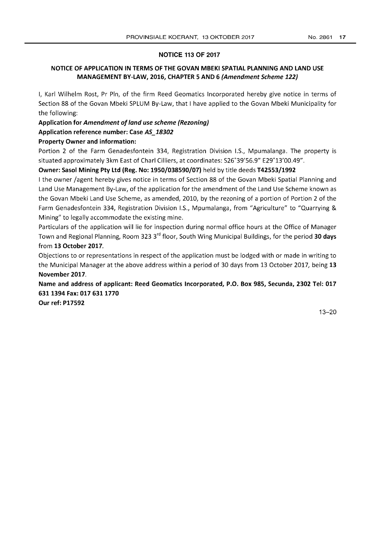# **NOTICE 113 OF 2017**

# **NOTICE OF APPLICATION IN TERMS OF THE GOVAN MBEKI SPATIAL PLANNING AND LAND USE MANAGEMENT BY-LAW, 2016, CHAPTER 5 AND 6 (Amendment Scheme 122)**

I, Karl Wilhelm Rost, Pr Pin, of the firm Reed Geomatics Incorporated hereby give notice in terms of Section 88 of the Govan Mbeki SPLUM By-Law, that I have applied to the Govan Mbeki Municipality for the following:

# **Application for Amendment of land use scheme (Rezoning)**

**Application reference number: Case AS\_18302** 

# **Property Owner and information:**

Portion 2 of the Farm Genadesfontein 334, Registration Division 1.5., Mpumalanga. The property is situated approximately 3km East of Chari Cilliers, at coordinates: 526°39'56.9" E29°13'00.49".

# **Owner: Sasol Mining Pty Ltd (Reg. No: 1950/038590/07)** held by title deeds **T42553/1992**

I the owner /agent hereby gives notice in terms of Section 88 of the Govan Mbeki Spatial Planning and Land Use Management By-Law, of the application for the amendment of the Land Use Scheme known as the Govan Mbeki Land Use Scheme, as amended, 2010, by the rezoning of a portion of Portion 2 of the Farm Genadesfontein 334, Registration Division 1.5., Mpumalanga, from "Agriculture" to "Quarrying & Mining" to legally accommodate the existing mine.

Particulars of the application will lie for inspection during normal office hours at the Office of Manager Town and Regional Planning, Room 323 3rd floor, South Wing Municipal Buildings, for the period **30 days**  from **13 October 2017.** 

Objections to or representations in respect of the application must be lodged with or made in writing to the Municipal Manager at the above address within a period of 30 days from 13 October 2017, being 13 **November 2017.** 

**Name and address of applicant: Reed Geomatics Incorporated, P.O. Box 985, Secunda, 2302 Tel: 017 6311394Fax:0176311770** 

**Our ref: P17592**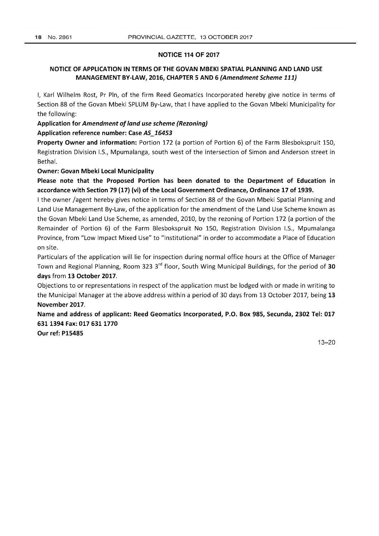#### NOTICE 114 OF 2017

# NOTICE OF APPLICATION IN TERMS OF THE GOVAN MBEKI SPATIAL PLANNING AND LAND USE MANAGEMENT BY-LAW, 2016, CHAPTER 5 AND 6 (Amendment Scheme 111)

I, Karl Wilhelm Rost, Pr Pin, of the firm Reed Geomatics Incorporated hereby give notice in terms of Section 88 of the Govan Mbeki SPLUM By-Law, that I have applied to the Govan Mbeki Municipality for the following:

# Application for Amendment of land use scheme (Rezoning)

# Application reference number: Case AS\_16453

Property Owner and information: Portion 172 (a portion of Portion 6) of the Farm Blesbokspruit 150, Registration Division I.S., Mpumalanga, south west of the intersection of Simon and Anderson street in Bethal.

#### Owner: Govan Mbeki Local Municipality

Please note that the Proposed Portion has been donated to the Department of Education in accordance with Section 79 (17) (vi) of the Local Government Ordinance, Ordinance 17 of 1939.

I the owner /agent hereby gives notice in terms of Section 88 of the Govan Mbeki Spatial Planning and Land Use Management By-Law, of the application for the amendment of the Land Use Scheme known as the Govan Mbeki Land Use Scheme, as amended, 2010, by the rezoning of Portion 172 (a portion of the Remainder of Portion 6) of the Farm Blesbokspruit No 150, Registration Division IS, Mpumalanga Province, from "Low Impact Mixed Use" to "Institutional" in order to accommodate a Place of Education on site.

Particulars of the application will lie for inspection during normal office hours at the Office of Manager Town and Regional Planning, Room 323 3<sup>rd</sup> floor, South Wing Municipal Buildings, for the period of 30 days from 13 October 2017.

Objections to or representations in respect of the application must be lodged with or made in writing to the Municipal Manager at the above address within a period of 30 days from 13 October 2017, being 13 November 2017.

Name and address of applicant: Reed Geomatics Incorporated, P.O. Box 985, Secunda, 2302 Tel: 017 6311394 Fax: 017 6311770

Our ref: P15485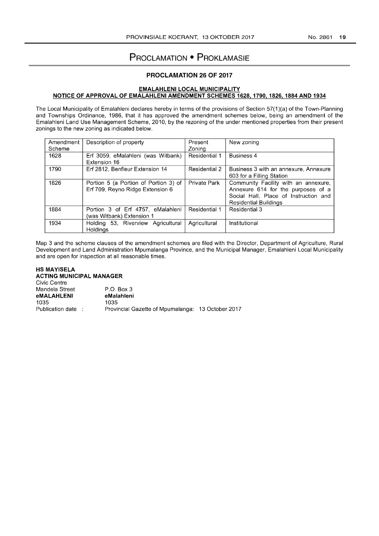# **PROCLAMATION • PROKLAMASIE**

# **PROCLAMATION 26 OF 2017**

#### **EMALAHLENI LOCAL MUNICIPALITY NOTICE OF APPROVAL OF EMALAHLENI AMENDMENT SCHEMES 1628, 1790, 1826, 1884 AND 1934**

The Local Municipality of Emalahleni declares hereby in terms of the provisions of Section 57(1 )(a) of the Town-Planning and Townships Ordinance, 1986, that it has approved the amendment schemes below, being an amendment of the Emalahleni Land Use Management Scheme, 2010, by the rezoning of the under mentioned properties from their present zonings to the new zoning as indicated below.

| Amendment<br>Scheme | Description of property                                                   | Present<br>Zoning | New zoning                                                                                                                                          |
|---------------------|---------------------------------------------------------------------------|-------------------|-----------------------------------------------------------------------------------------------------------------------------------------------------|
| 1628                | Erf 3059, eMalahleni (was Witbank)<br>Extension 16                        | Residential 1     | Business 4                                                                                                                                          |
| 1790                | Erf 2812, Benfleur Extension 14                                           | Residential 2     | Business 3 with an annexure, Annexure<br>603 for a Filling Station                                                                                  |
| 1826                | Portion 5 (a Portion of Portion 3) of<br>Erf 709, Reyno Ridge Extension 6 | Private Park      | Community Facility with an annexure,<br>Annexure 614 for the purposes of a<br>Social Hall, Place of Instruction and<br><b>Residential Buildings</b> |
| 1884                | Portion 3 of Erf 4757, eMalahleni<br>(was Witbank) Extension 1            | Residential 1     | Residential 3                                                                                                                                       |
| 1934                | Holding 53, Riverview Agricultural<br><b>Holdings</b>                     | Agricultural      | Institutional                                                                                                                                       |

Map 3 and the scheme clauses of the amendment schemes are filed with the Director, Department of Agriculture, Rural Development and Land Administration Mpumalanga Province, and the Municipal Manager, Emalahleni Local Municipality and are open for inspection at all reasonable times.

#### **HS MAYISELA ACTING MUNICIPAL MANAGER**

Civic Centre Mandela Street **eMALAHLENI**  1035 Publication date : P.O. Box 3 **eMalahleni**  1035 Provincial Gazette of Mpumalanga: 13 October 2017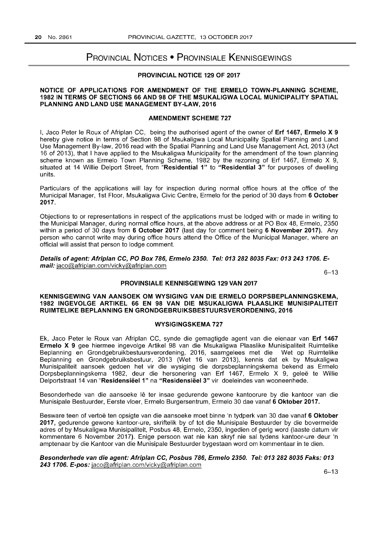# PROVINCIAL NOTICES • PROVINSIALE KENNISGEWINGS

#### PROVINCIAL NOTICE 129 OF 2017

#### NOTICE OF APPLICATIONS FOR AMENDMENT OF THE ERMELO TOWN-PLANNING SCHEME, 1982 IN TERMS OF SECTIONS 66 AND 98 OF THE MSUKALIGWA LOCAL MUNICIPALITY SPATIAL PLANNING AND LAND USE MANAGEMENT BY-LAW, 2016

#### AMENDMENT SCHEME 727

I, Jaco Peter Ie Roux of Afriplan CC, being the authorised agent of the owner of Erf 1467, Ermelo X 9 hereby give notice in terms of Section 98 of Msukaligwa Local Municipality Spatial Planning and Land Use Management By-law, 2016 read with the Spatial Planning and Land Use Management Act, 2013 (Act 16 of 2013), that I have applied to the Msukaligwa Municipality for the amendment of the town planning scheme known as Ermelo Town Planning Scheme, 1982 by the rezoning of Erf 1467, Ermelo X 9, situated at 14 Willie Delport Street, from "Residential 1" to "Residential 3" for purposes of dwelling units.

Particulars of the applications will lay for inspection during normal office hours at the office of the Municipal Manager, 1st Floor, Msukaligwa Civic Centre, Ermelo for the period of 30 days from 6 October 2017.

Objections to or representations in respect of the applications must be lodged with or made in writing to the Municipal Manager, during normal office hours, at the above address or at PO Box 48, Ermelo, 2350 within a period of 30 days from 6 October 2017 (last day for comment being 6 November 2017). Any person who cannot write may during office hours attend the Office of the Municipal Manager, where an official will assist that person to lodge comment.

Details of agent: Afriplan CC, PO Box 786, Erme/o 2350. Tel: 013 282 8035 Fax: 0132431706. Email: jaco@afriplan.com/vicky@afriplan.com

6-13

### PROVINSIALE KENNISGEWING 129 VAN 2017

### KENNISGEWING VAN AANSOEK OM WYSIGING VAN DIE ERMELO DORPSBEPLANNINGSKEMA, 1982 INGEVOLGE ARTIKEL 66 EN 98 VAN DIE MSUKALIGWA PLAASLIKE MUNISIPALITEIT RUIMTELIKE BEPLANNING EN GRONDGEBRUIKSBESTUURSVERORDENING, 2016

### WYSIGINGSKEMA 727

Ek, Jaco Peter Ie Roux van Afriplan CC, synde die gemagtigde agent van die eienaar van Erf 1467 Ermelo X 9 gee hiermee ingevolge Artikel 98 van die Msukaligwa Plaaslike Munisipaliteit Ruimtelike Beplanning en Grondgebruikbestuursverordening, 2016, saamgelees met die Wet op Ruimtelike Beplanning en Grondgebruiksbestuur, 2013 (Wet 16 van 2013), kennis dat ek by Msukaligwa Munisipaliteit aansoek gedoen het vir die wysiging die dorpsbeplanningskema bekend as Ermelo Dorpsbeplanningskema 1982, deur die hersonering van Erf 1467, Ermelo X 9, geleë te Willie Delportstraat 14 van "Residensieel 1" na "Residensieel 3" vir doeleindes van wooneenhede.

Besonderhede van die aansoeke lê ter insae gedurende gewone kantoorure by die kantoor van die Munisipale Bestuurder, Eerste vloer, Ermelo Burgersentrum, Ermelo 30 dae vanaf 6 Oktober 2017.

Besware teen of vertoë ten opsigte van die aansoeke moet binne 'n tydperk van 30 dae vanaf 6 Oktober 2017, gedurende gewone kantoor-ure, skriftelik by of tot die Munisipale Bestuurder by die bovermelde adres of by Msukaligwa Munisipaliteit, Posbus 48, Ermelo, 2350, ingedien of gerig word (Iaaste datum vir kommentare 6 November 2017). Enige persoon wat nie kan skryf nie sal tydens kantoor-ure deur 'n amptenaar by die Kantoor van die Munisipale Bestuurder bygestaan word om kommentaar in te dien.

#### Besonderhede van die agent: Afriplan CC, Posbus 786, Erme/o 2350. Tel: 013 282 8035 Faks: 013 243 1706. E-pos: jaco@afriplan.com/vicky@afriplan.com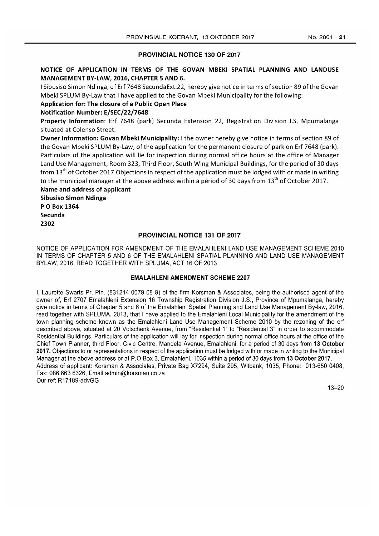### PROVINCIAL NOTICE 130 OF 2017

# NOTICE OF APPLICATION IN TERMS OF THE GOVAN MBEKI SPATIAL PLANNING AND LANDUSE MANAGEMENT BY-LAW, 2016, CHAPTER 5 AND 6.

I Sibusiso Simon Ndinga, of Erf7648 SecundaExt.22, hereby give notice in terms of section 89 ofthe Govan Mbeki SPLUM By-Law that I have applied to the Govan Mbeki Municipality for the following:

# Application for: The closure of a Public Open Place

Notification Number: E/SEC/22/7648

Property Information: Erf 7648 (park) Secunda Extension 22, Registration Division I.S, Mpumalanga situated at Colenso Street.

Owner Information: Govan Mbeki Municipality: I the owner hereby give notice in terms of section 89 of the Govan Mbeki SPLUM By-Law, of the application for the permanent closure of park on Erf 7648 (park). Particulars of the application will lie for inspection during normal office hours at the office of Manager Land Use Management, Room 323, Third Floor, South Wing Municipal Buildings, for the period of 30 days from 13<sup>th</sup> of October 2017. Objections in respect of the application must be lodged with or made in writing to the municipal manager at the above address within a period of 30 days from 13<sup>th</sup> of October 2017.

Name and address of applicant Sibusiso Simon Ndinga POBox 1364 Secunda 2302

## PROVINCIAL NOTICE 131 OF 2017

NOTICE OF APPLICATION FOR AMENDMENT OF THE EMALAHLENI LAND USE MANAGEMENT SCHEME 2010 IN TERMS OF CHAPTER 5 AND 6 OF THE EMALAHLENI SPATIAL PLANNING AND LAND USE MANAGEMENT BYLAW, 2016, READ TOGETHER WITH SPLUMA, ACT 16 OF 2013

### EMALAHLENI AMENDMENT SCHEME 2207

I, Laurette Swarts Pr. Pln. (831214 0079 08 9) of the firm Korsman & Associates, being the authorised agent of the owner of, Erf 2707 Emalahleni Extension 16 Township Registration Division J.S., Province of Mpumalanga, hereby give notice in terms of Chapter 5 and 6 of the Emalahleni Spatial Planning and Land Use Management By-law, 2016, read together with SPLUMA, 2013, that I have applied to the Emalahleni Local Municipality for the amendment of the town planning scheme known as the Emalahleni Land Use Management Scheme 2010 by the rezoning of the erf described above, situated at 20 Volschenk Avenue, from "Residential 1" to "Residential 3" in order to accommodate Residential Buildings. Particulars of the application will lay for inspection during normal office hours at the office of the Chief Town Planner, third Floor, Civic Centre, Mandela Avenue, Emalahleni, for a period of 30 days from 13 October 2017. Objections to or representations in respect of the application must be lodged with or made in writing to the Municipal Manager at the above address or at P.O Box 3, Emalahleni, 1035 within a period of 30 days from 13 October 2017. Address of applicant: Korsman & Associates, Private Bag X7294, Suite 295, Witbank, 1035, Phone: 013-650 0408, Fax: 086 663 6326, Email admin@korsman.co.za Our ref: R17189-advGG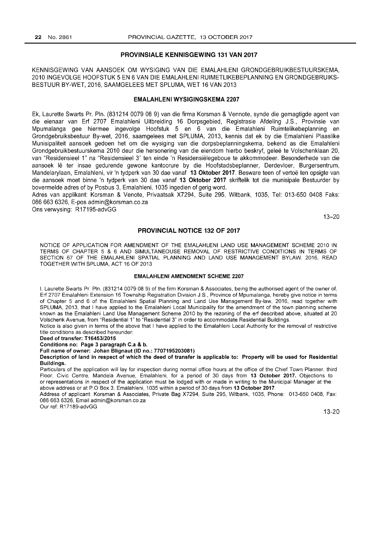#### PROVINSIALE KENNISGEWING 131 VAN 2017

KENNISGEWING VAN AANSOEK OM WYSIGING VAN DIE EMALAHLENI GRONDGEBRUIKBESTUURSKEMA, 2010 INGEVOLGE HOOFSTUK 5 EN 6 VAN DIE EMALAHLENI RUIMETLIKEBEPLANNING EN GRONDGEBRUIKS-BESTUUR BY-WET, 2016, SAAMGELEES MET SPLUMA, WET 16 VAN 2013

#### EMALAHLENI WYSIGINGSKEMA 2207

Ek, Laurette Swarts Pr. Pln. (831214 0079 08 9) van die firma Korsman & Vennote, synde die gemagtigde agent van die eienaar van Erf 2707 Emalahleni Uitbreiding 16 Dorpsgebied, Registrasie Afdeling J.S., Provinsie van Mpumalanga gee hiermee ingevolge Hoofstuk 5 en 6 van die Emalahleni Ruimtelikebeplanning en Grondgebruiksbestuur By-wet, 2016, saamgelees met SPLUMA, 2013, kennis dat ek by die Emalahleni Plaaslike Munisipaliteit aansoek gedoen het om die wysiging van die dorpsbeplanningskema, bekend as die Emalahleni Grondgebruikbestuurskema 2010 deur die hersonering van die eiendom hierbo beskryf, gelee te Voischenklaan 20, van "Residensieel 1" na "Residensieel 3" ten einde 'n Residensielegeboue te akkommodeer. Besonderhede van die aansoek lê ter insae gedurende gewone kantoorure by die Hoofstadsbeplanner, Derdevloer, Burgersentrum, Mandelarylaan, Emalahleni, vir 'n tydperk van 30 dae vanaf 13 Oktober 2017. Besware teen of vertoë ten opsigte van die aansoek moet binne 'n tydperk van 30 dae vanaf 13 Oktober 2017 skriftelik tot die munisipale Bestuurder by bovermelde adres of by Posbus 3, Emalahleni, 1035 ingedien of gerig word.

Adres van applikant: Korsman & Venote, Privaatsak X7294, Suite 295, Witbank, 1035, Tel: 013-650 0408 Faks: 086 663 6326, E-pos admin@korsman.co.za

Ons verwysing: R17195-advGG

13-20

#### PROVINCIAL NOTICE 132 OF 2017

NOTICE OF APPLICATION FOR AMENDMENT OF THE EMALAHLENI LAND USE MANAGEMENT SCHEME 2010 IN TERMS OF CHAPTER 5 & 6 AND SIMULTANEOUSE REMOVAL OF RESTRICTIVE CONDITIONS IN TERMS OF SECTION 67 OF THE EMALAHLENI SPATIAL PLANNING AND LAND USE MANAGEMENT BYLAW, 2016, READ TOGETHER WITH SPLUMA, ACT 16 OF 2013

#### EMALAHLENI AMENDMENT SCHEME 2207

I, Laurette Swarts Pr. Pln. (831214 0079 08 9) of the firm Korsman & Associates, being the authorised agent of the owner of, Erf 2707 Emalahleni Extension 16 Township Registration Division J.S., Province of Mpumalanga, hereby give notice in terms of Chapter 5 and 6 of the Emalahleni Spatial Planning and Land Use Management By-law, 2016, read together with SPLUMA, 2013, that I have applied to the Emalahleni Local Municipality for the amendment of the town planning scheme known as the Emalahleni Land Use Management Scheme 2010 by the rezoning of the erf described above, situated at 20 Volschenk Avenue, from "Residential 1" to "Residential 3" in order to accommodate Residential Buildings.

Notice is also given in terms of the above that I have applied to the Emalahleni Local Authority for the removal of restrictive title conditions as described hereunder:

Deed of transfer: *T16453/2015* 

Conditions no: Page 3 paragraph C.a & b.

Full name of owner: Johan Blignaut (ID no.: 7707195203081)

Description of land in respect of which the deed of transfer is applicable to: Property will be used for Residential Buildings.

Particulars of the application will lay for inspection during normal office hours at the office of the Chief Town Planner, third Floor, Civic Centre, Mandela Avenue, Emalahleni, for a period of 30 days from 13 October 2017. Objections to or representations in respect of the application must be lodged with or made in writing to the Municipal Manager at the above address or at P.O Box 3, Emalahleni, 1035 within a period of 30 days from 13 October 2017.

Address of applicant: Korsman & Associates, Private Bag X7294, Suite 295, Witbank, 1035, Phone: 013-650 0408, Fax 086 663 6326, Email admin@korsman.co.za

Our ref: R17189-advGG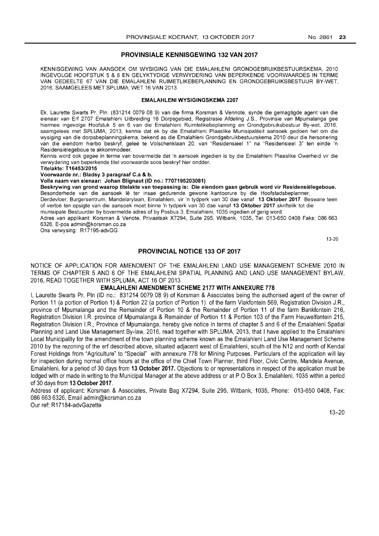#### PROVINSIALE KENNISGEWING 132 VAN 2017

KENNISGEWING VAN AANSOEK OM WYSIGING VAN DIE EMALAHLENI GRONDGEBRUIKBESTUURSKEMA, 2010 INGEVOLGE HOOFSTUK 5 & 6 EN GELYKTYDIGE VERWYDERING VAN BEPERKENDE VOORWAARDES IN TERME VAN GEDEELTE 67 VAN DIE EMALAHLENI RUIMETLIKEBEPLANNING EN GRONDGEBRUIKSBESTUUR BY-WET, 2016, SAAMGELEES MET SPLUMA, WET 16 VAN 2013

#### EMALAHLENI WYSIGINGSKEMA 2207

Ek, Laurette Swarts Pr. Pln. (831214 0079 08 9) van die firma Korsman & Vennote, synde die gemagtigde agent van die eienaar van Erf 2707 Emalahleni Uitbreiding 16 Dorpsgebied, Registrasie Afdeling J.S., Provinsie van Mpumalanga gee hiermee ingevolge Hoofstuk 5 en 6 van die Emalahleni Ruimtelikebeplanning en Grondgebruiksbestuur By-wet, 2016, saamgelees met SPLUMA, 2013, kennis dat ek by die Emalahleni Plaaslike Munisipaliteit aansoek gedoen het om die wysiging van die dorpsbeplanningskema, bekend as die Emalahleni Grondgebruikbestuurskema 2010 deur die hersonering van die eiendom hierbo beskryf, gelee te Voischenklaan 20, van "Residensieel 1" na "Residensieel 3" ten einde 'n Residensielegeboue te akkommodeer.

Kennis word ook gegee in terme van bovermelde dat 'n aansoek ingedien is by die Emalahleni Plaaslike Owerheid vir die verwydering van beperkende titel voorwaarde soos beskryf hier ondder.

Titelakte: *T16453/2015* 

Voorwaarde nr.: Bladsy 3 paragraaf C.a & b.

Volle naam van eienaar: Johan Blignaut (ID no.: 7707195203081)

Beskrywing van grond waarop titelakte van toepassing is: Die eiendom gaan gebruik word vir Residensiëlegeboue. Besonderhede van die aansoek Ie ter insae gedurende gewone kantoorure by die Hoofstadsbeplanner,

Derdevloer, Burgersentrum, Mandelarylaan, Emalahleni, vir 'n tydperk van 30 dae vanaf 13 Oktober 2017. Besware teen of vertoe ten opsigte van die aansoek moet binne 'n tydperk van 30 dae vanaf 13 Oktober 2017 skriftelik tot die

munisipale Bestuurder by bovermelde adres of by Posbus 3, Emalahleni, 1035 ingedien of gerig word.

Adres van applikant: Korsman & Venote, Privaatsak X7294, Suite 295, Witbank, 1035, Tel: 013-650 0408 Faks: 086663 6326, E-pos admin@korsman.co.za

Ons verwysing: R17195-advGG

13-20

#### PROVINCIAL NOTICE 133 OF 2017

NOTICE OF APPLICATION FOR AMENDMENT OF THE EMALAHLENI LAND USE MANAGEMENT SCHEME 2010 IN TERMS OF CHAPTER 5 AND 6 OF THE EMALAHLENI SPATIAL PLANNING AND LAND USE MANAGEMENT BYLAW, 2016, READ TOGETHER WITH SPLUMA, ACT 16 OF 2013

#### EMALAHLENI AMENDMENT SCHEME 2177 WITH ANNEXURE 778

I. Laurette Swarts Pr. Pln (ID no.: 831214 0079 08 9) of Korsman & Associates being the authorised agent of the owner of Portion 11 (a portion of Portion 1) & Portion 22 (a portion of Portion 1) of the farm Vlakfontein 569, Registration Division JR, province of Mpumalanga and the Remainder of Portion 10 & the Remainder of Portion 11 of the farm Bankfontein 216, Registration Division I.R. province of Mpumalanga & Remainder of Portion 11 & Portion 103 of the Farm Heuwelfontein 215, Registration Division I.R., Province of Mpumalanga, hereby give notice in terms of chapter 5 and 6 of the Emalahleni Spatial Planning and Land Use Management By-law, 2016, read together with SPLUMA, 2013, that I have applied to the Emalahleni Local Municipality for the amendment of the town planning scheme known as the Emalahleni Land Use Management Scheme 2010 by the rezoning of the erf described above, situated adjacent west of Emalahleni, south of the N12 and north of Kendal Forest Holdings from "Agriculture" to "Special" with annexure 778 for Mining Purposes. Particulars of the application will lay for inspection during normal office hours at the office of the Chief Town Planner, third Floor, Civic Centre, Mandela Avenue, Emalahleni, for a period of 30 days from 13 October 2017. Objections to or representations in respect of the application must be lodged with or made in writing to the Municipal Manager at the above address or at P.O Box 3, Emalahleni, 1035 within a period of 30 days from 13 October 2017.

Address of applicant: Korsman & Associates, Private Bag X7294, Suite 295, Witbank, 1035, Phone: 013-650 0408, Fax: 0866636326, Email admin@korsman.co.za

Our ref: R17184-advGazette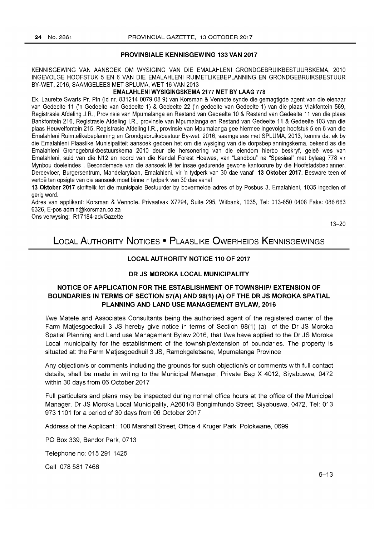#### PROVINSIALE KENNISGEWING 133 VAN 2017

KENNISGEWING VAN AANSOEK OM WYSIGING VAN DIE EMALAHLENI GRONDGEBRUIKBESTUURSKEMA, 2010 INGEVOLGE HOOFSTUK 5 EN 6 VAN DIE EMALAHLENI RUIMETLIKEBEPLANNING EN GRONDGEBRUIKSBESTUUR BY-WET, 2016, SAAMGELEES MET SPLUMA, WET 16 VAN 2013

#### EMALAHLENI WYSIGINGSKEMA 2177 MET BY LAAG 778

Ek, Laurette Swarts Pr. Pln (Id nr. 831214 0079 08 9) van Korsman & Vennote synde die gemagtigde agent van die eienaar van Gedeelte 11 ('n Gedeelte van Gedeelte 1) & Gedeelte 22 ('n gedeelte van Gedeelte 1) van die plaas Vlakfontein 569, Registrasie Afdeling JR, Provinsie van Mpumalanga en Restand van Gedeelte 10 & Restand van Gedeelte 11 van die plaas Bankfontein 216, Registrasie Afdeling I.R., provinsie van Mpumalanga en Restand van Gedeelte 11 & Gedeelte 103 van die plaas Heuwelfontein 215, Registrasie Afdeling I.R., provinsie van Mpumalanga gee hiermee ingevolge hoofstuk 5 en 6 van die Emalahleni Ruimtelikebeplanning en Grondgebruiksbestuur By-wet, 2016, saamgelees met SPLUMA, 2013, kennis dat ek by die Emalahleni Plaaslike Munisipaliteit aansoek gedoen het om die wysiging van die dorpsbeplanningskema, bekend as die Emalahleni Grondgebruikbestuurskema 2010 deur die hersonering van die eiendom hierbo beskryf, gelee wes van Emalahleni, suid van die N12 en noord van die Kendal Forest Hoewes, van "Landbou" na "Spesiaal" met bylaag 778 vir Mynbou doeleindes . Besonderhede van die aansoek Ie ter insae gedurende gewone kantoorure by die Hoofstadsbeplanner, Derdevloer, Burgersentrum, Mandelarylaan, Emalahleni, vir 'n tydperk van 30 dae vanaf 13 Oktober 2017. Besware teen of vertoë ten opsigte van die aansoek moet binne 'n tydperk van 30 dae vanaf

13 Oktober 2017 skriftelik tot die munisipale Bestuurder by bovermelde adres of by Posbus 3, Emalahleni, 1035 ingedien of gerig word.

Adres van applikant: Korsman & Vennote, Privaatsak X7294, Suite 295, Witbank, 1035, Tel: 013-650 0408 Faks: 086663 6326, E-pos admin@korsman.co.za

Ons verwysing: R17184-advGazette

13-20

# LOCAL AUTHORITY NOTICES • PLAASLIKE OWERHEIDS KENNISGEWINGS

## LOCAL AUTHORITY NOTICE 110 OF 2017

#### DR JS MOROKA LOCAL MUNICIPALITY

# NOTICE OF APPLICATION FOR THE ESTABLISHMENT OF TOWNSHIP/ EXTENSION OF BOUNDARIES IN TERMS OF SECTION 57 (A) AND 98(1) (A) OF THE DR JS MOROKA SPATIAL PLANNING AND LAND USE MANAGEMENT BYLAW, 2016

I/we Matete and Associates Consultants being the authorised agent of the registered owner of the Farm Matjesgoedkuil 3 JS hereby give notice in terms of Section 98(1) (a) of the Dr JS Moroka Spatial Planning and Land use Management Bylaw 2016, that I/we have applied to the Dr JS Moroka Local municipality for the establishment of the township/extension of boundaries. The property is situated at: the Farm Matjesgoedkuil 3 JS, Ramokgeletsane, Mpumalanga Province

Any objection/s or comments including the grounds for such objection/s or comments with full contact details, shall be made in writing to the Municipal Manager, Private Bag X 4012, Siyabuswa, 0472 within 30 days from 06 October 2017

Full particulars and plans may be inspected during normal office hours at the office of the Municipal Manager, Dr JS Moroka Local Municipality, A2601/3 Bongimfundo Street, Siyabuswa, 0472, Tel: 013 973 1101 for a period of 30 days from 06 October 2017

Address of the Applicant: 100 Marshall Street, Office 4 Kruger Park, Polokwane, 0699

PO Box 339, Bendor Park, 0713

Telephone no: 015291 1425

Cell: 078581 7466